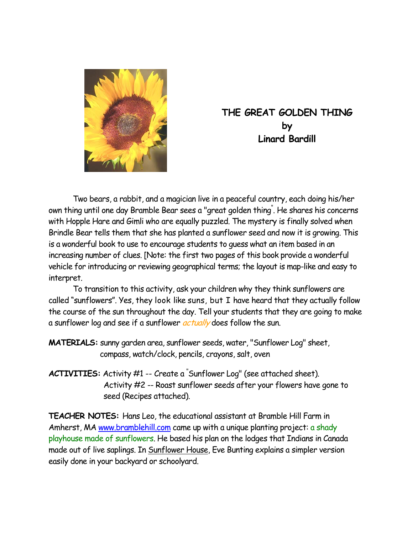

# **THE GREAT GOLDEN THING by Linard Bardill**

 Two bears, a rabbit, and a magician live in a peaceful country, each doing his/her own thing until one day Bramble Bear sees a "great golden thing" . He shares his concerns with Hopple Hare and Gimli who are equally puzzled. The mystery is finally solved when Brindle Bear tells them that she has planted a sunflower seed and now it is growing. This is a wonderful book to use to encourage students to guess what an item based in an increasing number of clues. [Note: the first two pages of this book provide a wonderful vehicle for introducing or reviewing geographical terms; the layout is map-like and easy to interpret.

 To transition to this activity, ask your children why they think sunflowers are called "sunflowers". Yes, they look like suns, but I have heard that they actually follow the course of the sun throughout the day. Tell your students that they are going to make a sunflower log and see if a sunflower *actually* does follow the sun.

**MATERIALS:** sunny garden area, sunflower seeds, water, "Sunflower Log" sheet, compass, watch/clock, pencils, crayons, salt, oven

**ACTIVITIES:** Activity #1 -- Create a " Sunflower Log" (see attached sheet). Activity #2 -- Roast sunflower seeds after your flowers have gone to seed (Recipes attached).

**TEACHER NOTES:** Hans Leo, the educational assistant at Bramble Hill Farm in Amherst, MA www.bramblehill.com came up with a unique planting project: a shady playhouse made of sunflowers. He based his plan on the lodges that Indians in Canada made out of live saplings. In Sunflower House, Eve Bunting explains a simpler version easily done in your backyard or schoolyard.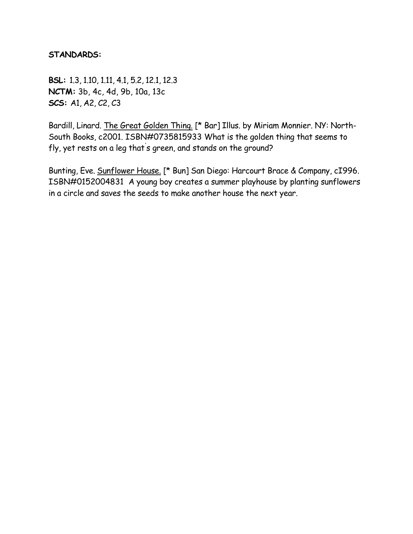#### **STANDARDS:**

**BSL:** 1.3, 1.10, 1.11, 4.1, 5.2, 12.1, 12.3 **NCTM:** 3b, 4c, 4d, 9b, 10a, 13c **SCS:** A1, A2, C2, C3

Bardill, Linard. The Great Golden Thing. [\* Bar] Illus. by Miriam Monnier. NY: North-South Books, c2001. ISBN#0735815933 What is the golden thing that seems to fly, yet rests on a leg that' s green, and stands on the ground?

Bunting, Eve. Sunflower House. [\* Bun] San Diego: Harcourt Brace & Company, cI996. ISBN#0152004831 A young boy creates a summer playhouse by planting sunflowers in a circle and saves the seeds to make another house the next year.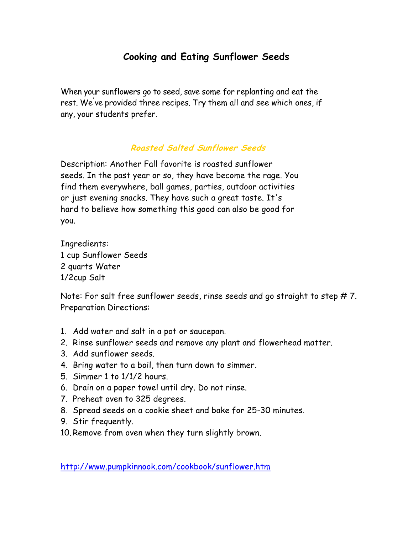# **Cooking and Eating Sunflower Seeds**

When your sunflowers go to seed, save some for replanting and eat the rest. We' ve provided three recipes. Try them all and see which ones, if any, your students prefer.

#### **Roasted Salted Sunflower Seeds**

Description: Another Fall favorite is roasted sunflower seeds. In the past year or so, they have become the rage. You find them everywhere, ball games, parties, outdoor activities or just evening snacks. They have such a great taste. It's hard to believe how something this good can also be good for you.

Ingredients: 1 cup Sunflower Seeds 2 quarts Water 1/2cup Salt

Note: For salt free sunflower seeds, rinse seeds and go straight to step # 7. Preparation Directions:

- 1. Add water and salt in a pot or saucepan.
- 2. Rinse sunflower seeds and remove any plant and flowerhead matter.
- 3. Add sunflower seeds.
- 4. Bring water to a boil, then turn down to simmer.
- 5. Simmer 1 to 1/1/2 hours.
- 6. Drain on a paper towel until dry. Do not rinse.
- 7. Preheat oven to 325 degrees.
- 8. Spread seeds on a cookie sheet and bake for 25-30 minutes.
- 9. Stir frequently.
- 10. Remove from oven when they turn slightly brown.

http://www.pumpkinnook.com/cookbook/sunflower.htm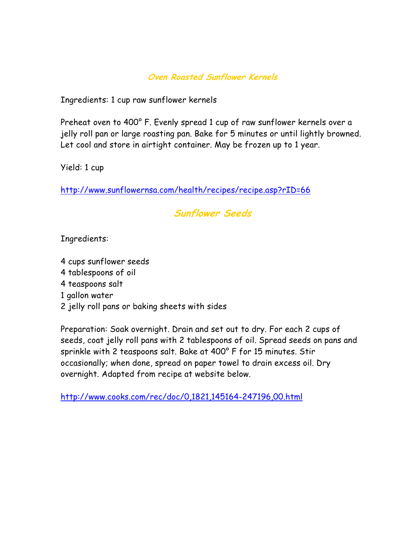### **Oven Roasted Sunflower Kernels**

Ingredients: 1 cup raw sunflower kernels

Preheat oven to 400° F. Evenly spread 1 cup of raw sunflower kernels over a jelly roll pan or large roasting pan. Bake for 5 minutes or until lightly browned. Let cool and store in airtight container. May be frozen up to 1 year.

Yield: 1 cup

http://www.sunflowernsa.com/health/recipes/recipe.asp?rID=66

## **Sunflower Seeds**

Ingredients:

- 4 cups sunflower seeds
- 4 tablespoons of oil
- 4 teaspoons salt
- 1 gallon water
- 2 jelly roll pans or baking sheets with sides

Preparation: Soak overnight. Drain and set out to dry. For each 2 cups of seeds, coat jelly roll pans with 2 tablespoons of oil. Spread seeds on pans and sprinkle with 2 teaspoons salt. Bake at 400° F for 15 minutes. Stir occasionally; when done, spread on paper towel to drain excess oil. Dry overnight. Adapted from recipe at website below.

http://www.cooks.com/rec/doc/0,1821,145164-247196,00.html